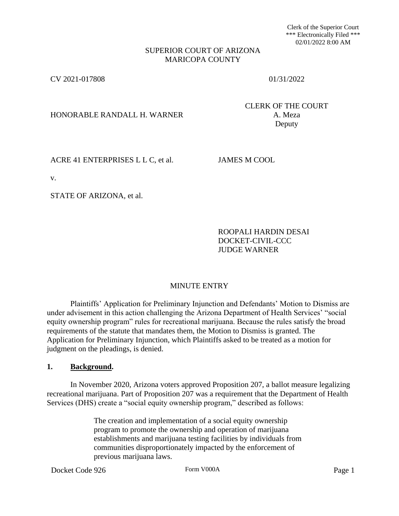Clerk of the Superior Court \*\*\* Electronically Filed \*\*\* 02/01/2022 8:00 AM

## SUPERIOR COURT OF ARIZONA MARICOPA COUNTY

CV 2021-017808 01/31/2022

HONORABLE RANDALL H. WARNER A. Meza

CLERK OF THE COURT Deputy

ACRE 41 ENTERPRISES L L C, et al. JAMES M COOL

v.

STATE OF ARIZONA, et al.

ROOPALI HARDIN DESAI DOCKET-CIVIL-CCC JUDGE WARNER

# MINUTE ENTRY

Plaintiffs' Application for Preliminary Injunction and Defendants' Motion to Dismiss are under advisement in this action challenging the Arizona Department of Health Services' "social equity ownership program" rules for recreational marijuana. Because the rules satisfy the broad requirements of the statute that mandates them, the Motion to Dismiss is granted. The Application for Preliminary Injunction, which Plaintiffs asked to be treated as a motion for judgment on the pleadings, is denied.

### **1. Background.**

In November 2020, Arizona voters approved Proposition 207, a ballot measure legalizing recreational marijuana. Part of Proposition 207 was a requirement that the Department of Health Services (DHS) create a "social equity ownership program," described as follows:

> The creation and implementation of a social equity ownership program to promote the ownership and operation of marijuana establishments and marijuana testing facilities by individuals from communities disproportionately impacted by the enforcement of previous marijuana laws.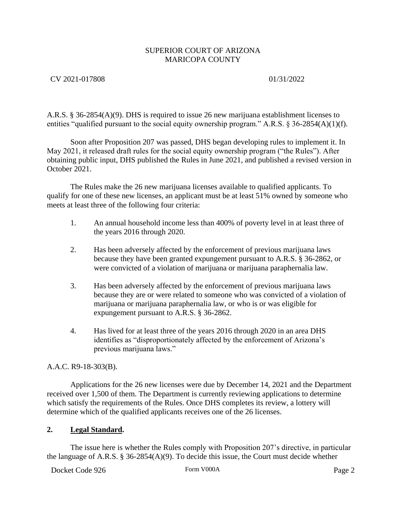# CV 2021-017808 01/31/2022

A.R.S. § 36-2854(A)(9). DHS is required to issue 26 new marijuana establishment licenses to entities "qualified pursuant to the social equity ownership program." A.R.S. § 36-2854(A)(1)(f).

Soon after Proposition 207 was passed, DHS began developing rules to implement it. In May 2021, it released draft rules for the social equity ownership program ("the Rules"). After obtaining public input, DHS published the Rules in June 2021, and published a revised version in October 2021.

The Rules make the 26 new marijuana licenses available to qualified applicants. To qualify for one of these new licenses, an applicant must be at least 51% owned by someone who meets at least three of the following four criteria:

- 1. An annual household income less than 400% of poverty level in at least three of the years 2016 through 2020.
- 2. Has been adversely affected by the enforcement of previous marijuana laws because they have been granted expungement pursuant to A.R.S. § 36-2862, or were convicted of a violation of marijuana or marijuana paraphernalia law.
- 3. Has been adversely affected by the enforcement of previous marijuana laws because they are or were related to someone who was convicted of a violation of marijuana or marijuana paraphernalia law, or who is or was eligible for expungement pursuant to A.R.S. § 36-2862.
- 4. Has lived for at least three of the years 2016 through 2020 in an area DHS identifies as "disproportionately affected by the enforcement of Arizona's previous marijuana laws."

# A.A.C. R9-18-303(B).

Applications for the 26 new licenses were due by December 14, 2021 and the Department received over 1,500 of them. The Department is currently reviewing applications to determine which satisfy the requirements of the Rules. Once DHS completes its review, a lottery will determine which of the qualified applicants receives one of the 26 licenses.

# **2. Legal Standard.**

The issue here is whether the Rules comply with Proposition 207's directive, in particular the language of A.R.S. § 36-2854(A)(9). To decide this issue, the Court must decide whether

Docket Code 926 Form V000A Form V000A Page 2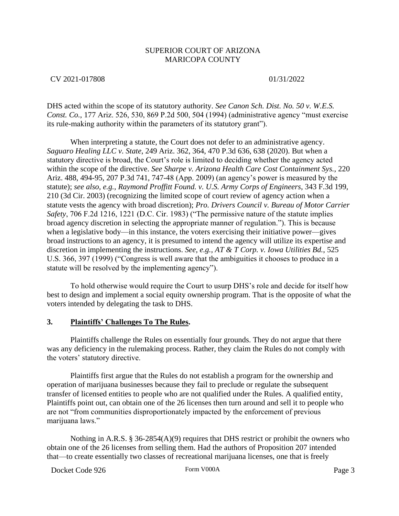### CV 2021-017808 01/31/2022

DHS acted within the scope of its statutory authority. *See Canon Sch. Dist. No. 50 v. W.E.S. Const. Co.*, 177 Ariz. 526, 530, 869 P.2d 500, 504 (1994) (administrative agency "must exercise its rule-making authority within the parameters of its statutory grant").

When interpreting a statute, the Court does not defer to an administrative agency. *Saguaro Healing LLC v. State*, 249 Ariz. 362, 364, 470 P.3d 636, 638 (2020). But when a statutory directive is broad, the Court's role is limited to deciding whether the agency acted within the scope of the directive. *See Sharpe v. Arizona Health Care Cost Containment Sys.*, 220 Ariz. 488, 494-95, 207 P.3d 741, 747-48 (App. 2009) (an agency's power is measured by the statute); *see also, e.g., Raymond Proffitt Found. v. U.S. Army Corps of Engineers*, 343 F.3d 199, 210 (3d Cir. 2003) (recognizing the limited scope of court review of agency action when a statute vests the agency with broad discretion); *Pro. Drivers Council v. Bureau of Motor Carrier Safety*, 706 F.2d 1216, 1221 (D.C. Cir. 1983) ("The permissive nature of the statute implies broad agency discretion in selecting the appropriate manner of regulation."). This is because when a legislative body—in this instance, the voters exercising their initiative power—gives broad instructions to an agency, it is presumed to intend the agency will utilize its expertise and discretion in implementing the instructions. *See, e.g., AT & T Corp. v. Iowa Utilities Bd.*, 525 U.S. 366, 397 (1999) ("Congress is well aware that the ambiguities it chooses to produce in a statute will be resolved by the implementing agency").

To hold otherwise would require the Court to usurp DHS's role and decide for itself how best to design and implement a social equity ownership program. That is the opposite of what the voters intended by delegating the task to DHS.

### **3. Plaintiffs' Challenges To The Rules.**

Plaintiffs challenge the Rules on essentially four grounds. They do not argue that there was any deficiency in the rulemaking process. Rather, they claim the Rules do not comply with the voters' statutory directive.

Plaintiffs first argue that the Rules do not establish a program for the ownership and operation of marijuana businesses because they fail to preclude or regulate the subsequent transfer of licensed entities to people who are not qualified under the Rules. A qualified entity, Plaintiffs point out, can obtain one of the 26 licenses then turn around and sell it to people who are not "from communities disproportionately impacted by the enforcement of previous marijuana laws."

Nothing in A.R.S. § 36-2854(A)(9) requires that DHS restrict or prohibit the owners who obtain one of the 26 licenses from selling them. Had the authors of Proposition 207 intended that—to create essentially two classes of recreational marijuana licenses, one that is freely

Docket Code 926 Form V000A Form V000A Page 3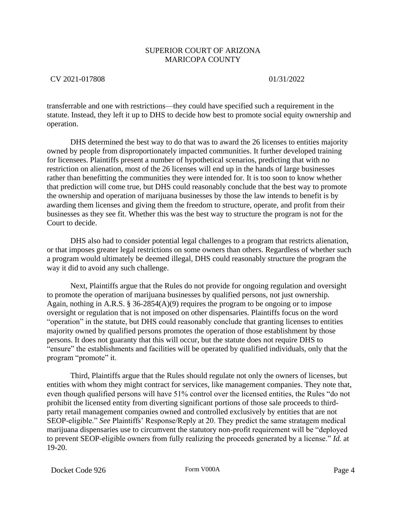## CV 2021-017808 01/31/2022

transferrable and one with restrictions—they could have specified such a requirement in the statute. Instead, they left it up to DHS to decide how best to promote social equity ownership and operation.

DHS determined the best way to do that was to award the 26 licenses to entities majority owned by people from disproportionately impacted communities. It further developed training for licensees. Plaintiffs present a number of hypothetical scenarios, predicting that with no restriction on alienation, most of the 26 licenses will end up in the hands of large businesses rather than benefitting the communities they were intended for. It is too soon to know whether that prediction will come true, but DHS could reasonably conclude that the best way to promote the ownership and operation of marijuana businesses by those the law intends to benefit is by awarding them licenses and giving them the freedom to structure, operate, and profit from their businesses as they see fit. Whether this was the best way to structure the program is not for the Court to decide.

DHS also had to consider potential legal challenges to a program that restricts alienation, or that imposes greater legal restrictions on some owners than others. Regardless of whether such a program would ultimately be deemed illegal, DHS could reasonably structure the program the way it did to avoid any such challenge.

Next, Plaintiffs argue that the Rules do not provide for ongoing regulation and oversight to promote the operation of marijuana businesses by qualified persons, not just ownership. Again, nothing in A.R.S. § 36-2854(A)(9) requires the program to be ongoing or to impose oversight or regulation that is not imposed on other dispensaries. Plaintiffs focus on the word "operation" in the statute, but DHS could reasonably conclude that granting licenses to entities majority owned by qualified persons promotes the operation of those establishment by those persons. It does not guaranty that this will occur, but the statute does not require DHS to "ensure" the establishments and facilities will be operated by qualified individuals, only that the program "promote" it.

Third, Plaintiffs argue that the Rules should regulate not only the owners of licenses, but entities with whom they might contract for services, like management companies. They note that, even though qualified persons will have 51% control over the licensed entities, the Rules "do not prohibit the licensed entity from diverting significant portions of those sale proceeds to thirdparty retail management companies owned and controlled exclusively by entities that are not SEOP-eligible." *See* Plaintiffs' Response/Reply at 20. They predict the same stratagem medical marijuana dispensaries use to circumvent the statutory non-profit requirement will be "deployed to prevent SEOP-eligible owners from fully realizing the proceeds generated by a license." *Id.* at 19-20.